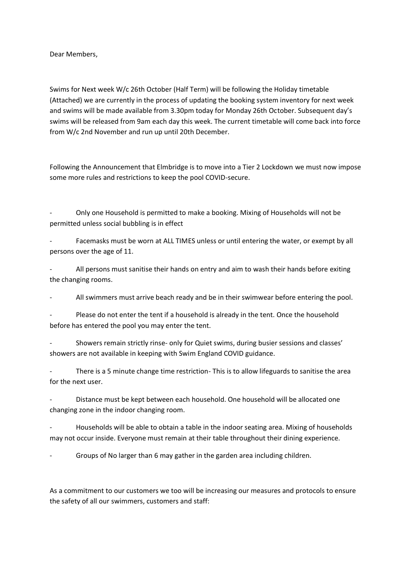Dear Members,

Swims for Next week W/c 26th October (Half Term) will be following the Holiday timetable (Attached) we are currently in the process of updating the booking system inventory for next week and swims will be made available from 3.30pm today for Monday 26th October. Subsequent day's swims will be released from 9am each day this week. The current timetable will come back into force from W/c 2nd November and run up until 20th December.

Following the Announcement that Elmbridge is to move into a Tier 2 Lockdown we must now impose some more rules and restrictions to keep the pool COVID-secure.

- Only one Household is permitted to make a booking. Mixing of Households will not be permitted unless social bubbling is in effect

Facemasks must be worn at ALL TIMES unless or until entering the water, or exempt by all persons over the age of 11.

All persons must sanitise their hands on entry and aim to wash their hands before exiting the changing rooms.

All swimmers must arrive beach ready and be in their swimwear before entering the pool.

Please do not enter the tent if a household is already in the tent. Once the household before has entered the pool you may enter the tent.

Showers remain strictly rinse- only for Quiet swims, during busier sessions and classes' showers are not available in keeping with Swim England COVID guidance.

There is a 5 minute change time restriction- This is to allow lifeguards to sanitise the area for the next user.

Distance must be kept between each household. One household will be allocated one changing zone in the indoor changing room.

- Households will be able to obtain a table in the indoor seating area. Mixing of households may not occur inside. Everyone must remain at their table throughout their dining experience.

Groups of No larger than 6 may gather in the garden area including children.

As a commitment to our customers we too will be increasing our measures and protocols to ensure the safety of all our swimmers, customers and staff: